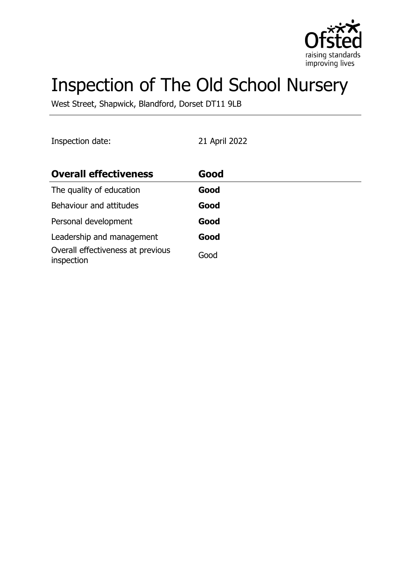

# Inspection of The Old School Nursery

West Street, Shapwick, Blandford, Dorset DT11 9LB

Inspection date: 21 April 2022

| <b>Overall effectiveness</b>                    | Good |
|-------------------------------------------------|------|
| The quality of education                        | Good |
| Behaviour and attitudes                         | Good |
| Personal development                            | Good |
| Leadership and management                       | Good |
| Overall effectiveness at previous<br>inspection | Good |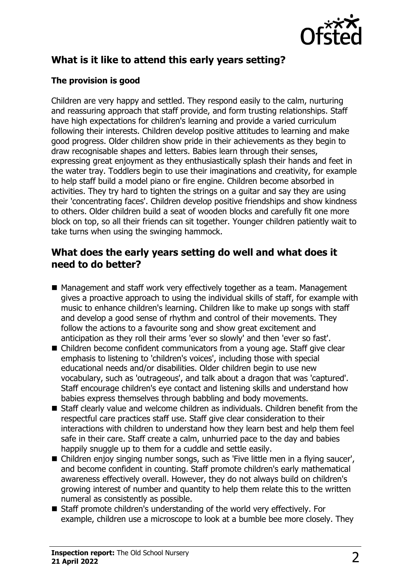

# **What is it like to attend this early years setting?**

#### **The provision is good**

Children are very happy and settled. They respond easily to the calm, nurturing and reassuring approach that staff provide, and form trusting relationships. Staff have high expectations for children's learning and provide a varied curriculum following their interests. Children develop positive attitudes to learning and make good progress. Older children show pride in their achievements as they begin to draw recognisable shapes and letters. Babies learn through their senses, expressing great enjoyment as they enthusiastically splash their hands and feet in the water tray. Toddlers begin to use their imaginations and creativity, for example to help staff build a model piano or fire engine. Children become absorbed in activities. They try hard to tighten the strings on a quitar and say they are using their 'concentrating faces'. Children develop positive friendships and show kindness to others. Older children build a seat of wooden blocks and carefully fit one more block on top, so all their friends can sit together. Younger children patiently wait to take turns when using the swinging hammock.

#### **What does the early years setting do well and what does it need to do better?**

- Management and staff work very effectively together as a team. Management gives a proactive approach to using the individual skills of staff, for example with music to enhance children's learning. Children like to make up songs with staff and develop a good sense of rhythm and control of their movements. They follow the actions to a favourite song and show great excitement and anticipation as they roll their arms 'ever so slowly' and then 'ever so fast'.
- $\blacksquare$  Children become confident communicators from a young age. Staff give clear emphasis to listening to 'children's voices', including those with special educational needs and/or disabilities. Older children begin to use new vocabulary, such as 'outrageous', and talk about a dragon that was 'captured'. Staff encourage children's eye contact and listening skills and understand how babies express themselves through babbling and body movements.
- $\blacksquare$  Staff clearly value and welcome children as individuals. Children benefit from the respectful care practices staff use. Staff give clear consideration to their interactions with children to understand how they learn best and help them feel safe in their care. Staff create a calm, unhurried pace to the day and babies happily snuggle up to them for a cuddle and settle easily.
- Children enjoy singing number songs, such as 'Five little men in a flying saucer', and become confident in counting. Staff promote children's early mathematical awareness effectively overall. However, they do not always build on children's growing interest of number and quantity to help them relate this to the written numeral as consistently as possible.
- Staff promote children's understanding of the world very effectively. For example, children use a microscope to look at a bumble bee more closely. They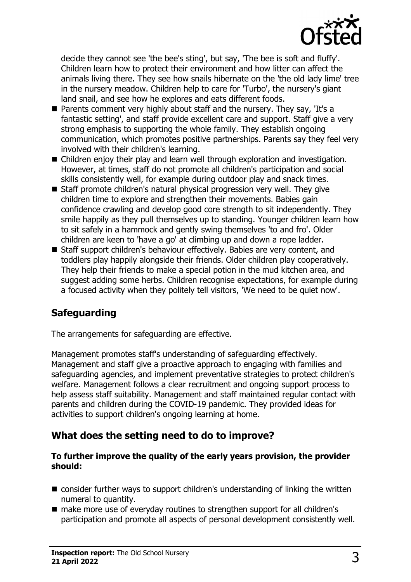

decide they cannot see 'the bee's sting', but say, 'The bee is soft and fluffy'. Children learn how to protect their environment and how litter can affect the animals living there. They see how snails hibernate on the 'the old lady lime' tree in the nursery meadow. Children help to care for 'Turbo', the nursery's giant land snail, and see how he explores and eats different foods.

- $\blacksquare$  Parents comment very highly about staff and the nursery. They say, 'It's a fantastic setting', and staff provide excellent care and support. Staff give a very strong emphasis to supporting the whole family. They establish ongoing communication, which promotes positive partnerships. Parents say they feel very involved with their children's learning.
- $\blacksquare$  Children enjoy their play and learn well through exploration and investigation. However, at times, staff do not promote all children's participation and social skills consistently well, for example during outdoor play and snack times.
- $\blacksquare$  Staff promote children's natural physical progression very well. They give children time to explore and strengthen their movements. Babies gain confidence crawling and develop good core strength to sit independently. They smile happily as they pull themselves up to standing. Younger children learn how to sit safely in a hammock and gently swing themselves 'to and fro'. Older children are keen to 'have a go' at climbing up and down a rope ladder.
- Staff support children's behaviour effectively. Babies are very content, and toddlers play happily alongside their friends. Older children play cooperatively. They help their friends to make a special potion in the mud kitchen area, and suggest adding some herbs. Children recognise expectations, for example during a focused activity when they politely tell visitors, 'We need to be quiet now'.

## **Safeguarding**

The arrangements for safeguarding are effective.

Management promotes staff's understanding of safeguarding effectively. Management and staff give a proactive approach to engaging with families and safeguarding agencies, and implement preventative strategies to protect children's welfare. Management follows a clear recruitment and ongoing support process to help assess staff suitability. Management and staff maintained regular contact with parents and children during the COVID-19 pandemic. They provided ideas for activities to support children's ongoing learning at home.

#### **What does the setting need to do to improve?**

#### **To further improve the quality of the early years provision, the provider should:**

- $\blacksquare$  consider further ways to support children's understanding of linking the written numeral to quantity.
- make more use of everyday routines to strengthen support for all children's participation and promote all aspects of personal development consistently well.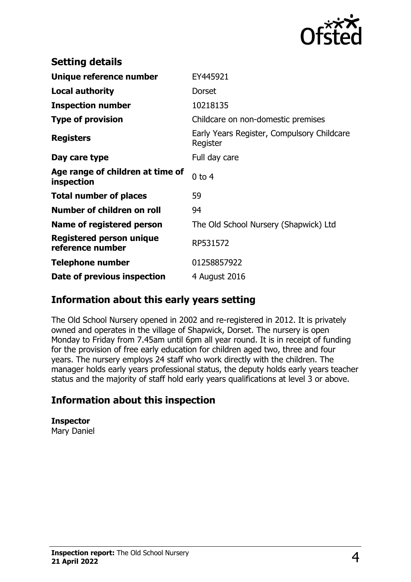

| <b>Setting details</b>                              |                                                        |
|-----------------------------------------------------|--------------------------------------------------------|
| Unique reference number                             | EY445921                                               |
| <b>Local authority</b>                              | Dorset                                                 |
| <b>Inspection number</b>                            | 10218135                                               |
| <b>Type of provision</b>                            | Childcare on non-domestic premises                     |
| <b>Registers</b>                                    | Early Years Register, Compulsory Childcare<br>Register |
| Day care type                                       | Full day care                                          |
| Age range of children at time of<br>inspection      | $0$ to $4$                                             |
| <b>Total number of places</b>                       | 59                                                     |
| Number of children on roll                          | 94                                                     |
| Name of registered person                           | The Old School Nursery (Shapwick) Ltd                  |
| <b>Registered person unique</b><br>reference number | RP531572                                               |
| <b>Telephone number</b>                             | 01258857922                                            |
| Date of previous inspection                         | 4 August 2016                                          |

#### **Information about this early years setting**

The Old School Nursery opened in 2002 and re-registered in 2012. It is privately owned and operates in the village of Shapwick, Dorset. The nursery is open Monday to Friday from 7.45am until 6pm all year round. It is in receipt of funding for the provision of free early education for children aged two, three and four years. The nursery employs 24 staff who work directly with the children. The manager holds early years professional status, the deputy holds early years teacher status and the majority of staff hold early years qualifications at level 3 or above.

## **Information about this inspection**

**Inspector** Mary Daniel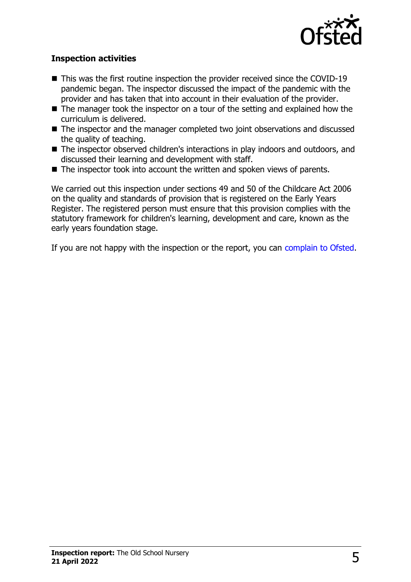

#### **Inspection activities**

- $\blacksquare$  This was the first routine inspection the provider received since the COVID-19 pandemic began. The inspector discussed the impact of the pandemic with the provider and has taken that into account in their evaluation of the provider.
- $\blacksquare$  The manager took the inspector on a tour of the setting and explained how the curriculum is delivered.
- $\blacksquare$  The inspector and the manager completed two joint observations and discussed the quality of teaching.
- The inspector observed children's interactions in play indoors and outdoors, and discussed their learning and development with staff.
- $\blacksquare$  The inspector took into account the written and spoken views of parents.

We carried out this inspection under sections 49 and 50 of the Childcare Act 2006 on the quality and standards of provision that is registered on the Early Years Register. The registered person must ensure that this provision complies with the statutory framework for children's learning, development and care, known as the early years foundation stage.

If you are not happy with the inspection or the report, you can [complain to Ofsted](http://www.gov.uk/complain-ofsted-report).